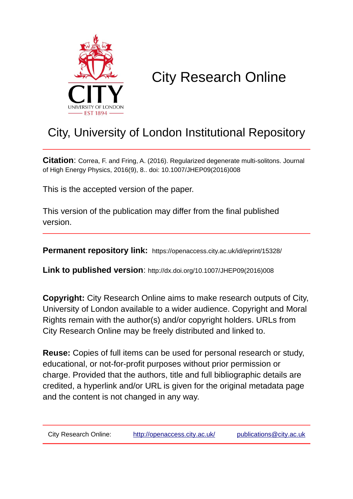

# City Research Online

## City, University of London Institutional Repository

**Citation**: Correa, F. and Fring, A. (2016). Regularized degenerate multi-solitons. Journal of High Energy Physics, 2016(9), 8.. doi: 10.1007/JHEP09(2016)008

This is the accepted version of the paper.

This version of the publication may differ from the final published version.

**Permanent repository link:** https://openaccess.city.ac.uk/id/eprint/15328/

**Link to published version**: http://dx.doi.org/10.1007/JHEP09(2016)008

**Copyright:** City Research Online aims to make research outputs of City, University of London available to a wider audience. Copyright and Moral Rights remain with the author(s) and/or copyright holders. URLs from City Research Online may be freely distributed and linked to.

**Reuse:** Copies of full items can be used for personal research or study, educational, or not-for-profit purposes without prior permission or charge. Provided that the authors, title and full bibliographic details are credited, a hyperlink and/or URL is given for the original metadata page and the content is not changed in any way.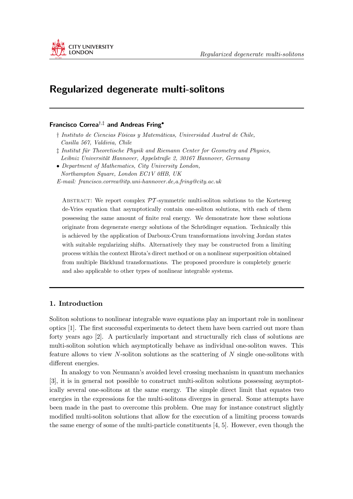

### Regularized degenerate multi-solitons

#### Francisco Correa†,‡ and Andreas Fring•

- † Instituto de Ciencias Físicas y Matemáticas, Universidad Austral de Chile, Casilla 567, Valdivia, Chile
- ‡ Institut für Theoretische Physik and Riemann Center for Geometry and Physics, Leibniz Universität Hannover, Appelstraße 2, 30167 Hannover, Germany
- Department of Mathematics, City University London, Northampton Square, London EC1V 0HB, UK E-mail: francisco.correa@itp.uni-hannover.de,a.fring@city.ac.uk

ABSTRACT: We report complex  $\mathcal{PT}$ -symmetric multi-soliton solutions to the Korteweg de-Vries equation that asymptotically contain one-soliton solutions, with each of them possessing the same amount of finite real energy. We demonstrate how these solutions originate from degenerate energy solutions of the Schrödinger equation. Technically this is achieved by the application of Darboux-Crum transformations involving Jordan states with suitable regularizing shifts. Alternatively they may be constructed from a limiting process within the context Hirota's direct method or on a nonlinear superposition obtained from multiple Bäcklund transformations. The proposed procedure is completely generic and also applicable to other types of nonlinear integrable systems.

#### 1. Introduction

Soliton solutions to nonlinear integrable wave equations play an important role in nonlinear optics [1]. The first successful experiments to detect them have been carried out more than forty years ago [2]. A particularly important and structurally rich class of solutions are multi-soliton solution which asymptotically behave as individual one-soliton waves. This feature allows to view  $N$ -soliton solutions as the scattering of  $N$  single one-solitons with different energies.

In analogy to von Neumann's avoided level crossing mechanism in quantum mechanics [3], it is in general not possible to construct multi-soliton solutions possessing asymptotically several one-solitons at the same energy. The simple direct limit that equates two energies in the expressions for the multi-solitons diverges in general. Some attempts have been made in the past to overcome this problem. One may for instance construct slightly modified multi-soliton solutions that allow for the execution of a limiting process towards the same energy of some of the multi-particle constituents [4, 5]. However, even though the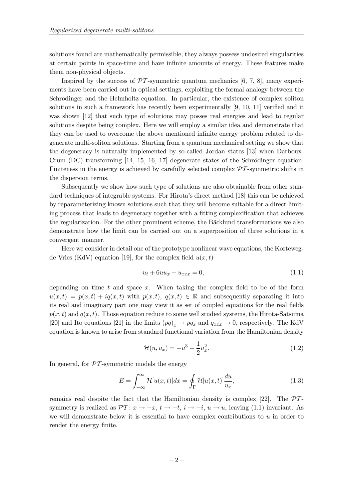solutions found are mathematically permissible, they always possess undesired singularities at certain points in space-time and have infinite amounts of energy. These features make them non-physical objects.

Inspired by the success of  $\mathcal{PT}$ -symmetric quantum mechanics [6, 7, 8], many experiments have been carried out in optical settings, exploiting the formal analogy between the Schrödinger and the Helmholtz equation. In particular, the existence of complex soliton solutions in such a framework has recently been experimentally [9, 10, 11] verified and it was shown [12] that such type of solutions may posses real energies and lead to regular solutions despite being complex. Here we will employ a similar idea and demonstrate that they can be used to overcome the above mentioned infinite energy problem related to degenerate multi-soliton solutions. Starting from a quantum mechanical setting we show that the degeneracy is naturally implemented by so-called Jordan states [13] when Darboux-Crum (DC) transforming [14, 15, 16, 17] degenerate states of the Schrödinger equation. Finiteness in the energy is achieved by carefully selected complex  $\mathcal{P}I$ -symmetric shifts in the dispersion terms.

Subsequently we show how such type of solutions are also obtainable from other standard techniques of integrable systems. For Hirota's direct method [18] this can be achieved by reparameterizing known solutions such that they will become suitable for a direct limiting process that leads to degeneracy together with a fitting complexification that achieves the regularization. For the other prominent scheme, the Bäcklund transformations we also demonstrate how the limit can be carried out on a superposition of three solutions in a convergent manner.

Here we consider in detail one of the prototype nonlinear wave equations, the Kortewegde Vries (KdV) equation [19], for the complex field  $u(x, t)$ 

$$
u_t + 6uu_x + u_{xxx} = 0,\t\t(1.1)
$$

depending on time  $t$  and space  $x$ . When taking the complex field to be of the form  $u(x,t) = p(x,t) + iq(x,t)$  with  $p(x,t)$ ,  $q(x,t) \in \mathbb{R}$  and subsequently separating it into its real and imaginary part one may view it as set of coupled equations for the real fields  $p(x, t)$  and  $q(x, t)$ . Those equation reduce to some well studied systems, the Hirota-Satsuma [20] and Ito equations [21] in the limits  $(pq)_x \to pq_x$  and  $q_{xxx} \to 0$ , respectively. The KdV equation is known to arise from standard functional variation from the Hamiltonian density

$$
\mathcal{H}(u, u_x) = -u^3 + \frac{1}{2}u_x^2.
$$
\n(1.2)

In general, for  $\mathcal{PT}$ -symmetric models the energy

$$
E = \int_{-\infty}^{\infty} \mathcal{H}[u(x,t)]dx = \oint_{\Gamma} \mathcal{H}[u(x,t)]\frac{du}{u_x},\tag{1.3}
$$

remains real despite the fact that the Hamiltonian density is complex [22]. The  $\mathcal{P}\mathcal{T}$ symmetry is realized as  $\mathcal{P}T: x \to -x, t \to -t, i \to -i, u \to u$ , leaving (1.1) invariant. As we will demonstrate below it is essential to have complex contributions to  $u$  in order to render the energy finite.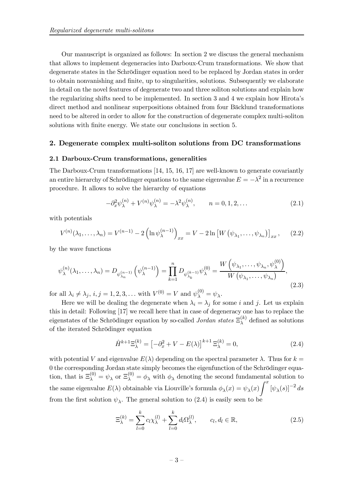Our manuscript is organized as follows: In section 2 we discuss the general mechanism that allows to implement degeneracies into Darboux-Crum transformations. We show that degenerate states in the Schrödinger equation need to be replaced by Jordan states in order to obtain nonvanishing and finite, up to singularities, solutions. Subsequently we elaborate in detail on the novel features of degenerate two and three soliton solutions and explain how the regularizing shifts need to be implemented. In section 3 and 4 we explain how Hirota's direct method and nonlinear superpositions obtained from four Bäcklund transformations need to be altered in order to allow for the construction of degenerate complex multi-soliton solutions with finite energy. We state our conclusions in section 5.

#### 2. Degenerate complex multi-soliton solutions from DC transformations

#### 2.1 Darboux-Crum transformations, generalities

The Darboux-Crum transformations [14, 15, 16, 17] are well-known to generate covariantly an entire hierarchy of Schrödinger equations to the same eigenvalue  $E = -\lambda^2$  in a recurrence procedure. It allows to solve the hierarchy of equations

$$
-\partial_x^2 \psi_{\lambda}^{(n)} + V^{(n)} \psi_{\lambda}^{(n)} = -\lambda^2 \psi_{\lambda}^{(n)}, \qquad n = 0, 1, 2, ... \tag{2.1}
$$

with potentials

$$
V^{(n)}(\lambda_1,\ldots,\lambda_n) = V^{(n-1)} - 2\left(\ln\psi_{\lambda}^{(n-1)}\right)_{xx} = V - 2\ln\left[W\left(\psi_{\lambda_1},\ldots,\psi_{\lambda_n}\right)\right]_{xx},\qquad(2.2)
$$

by the wave functions

$$
\psi_{\lambda}^{(n)}(\lambda_1, ..., \lambda_n) = D_{\psi_{\lambda_n}^{(n-1)}}\left(\psi_{\lambda}^{(n-1)}\right) = \prod_{k=1}^n D_{\psi_{\lambda_k}^{(k-1)}}\psi_{\lambda}^{(0)} = \frac{W\left(\psi_{\lambda_1}, ..., \psi_{\lambda_n}, \psi_{\lambda}^{(0)}\right)}{W\left(\psi_{\lambda_1}, ..., \psi_{\lambda_n}\right)},\tag{2.3}
$$

for all  $\lambda_i \neq \lambda_j$ ,  $i, j = 1, 2, 3, \dots$  with  $V^{(0)} = V$  and  $\psi_{\lambda}^{(0)} = \psi_{\lambda}$ .

Here we will be dealing the degenerate when  $\lambda_i = \lambda_j$  for some i and j. Let us explain this in detail: Following [17] we recall here that in case of degeneracy one has to replace the eigenstates of the Schrödinger equation by so-called *Jordan states*  $\Xi_{\lambda}^{(k)}$  $\lambda^{(k)}$  defined as solutions of the iterated Schrödinger equation

$$
\hat{H}^{k+1}\Xi_{\lambda}^{(k)} = \left[-\partial_x^2 + V - E(\lambda)\right]^{k+1}\Xi_{\lambda}^{(k)} = 0,\tag{2.4}
$$

with potential V and eigenvalue  $E(\lambda)$  depending on the spectral parameter  $\lambda$ . Thus for  $k =$ 0 the corresponding Jordan state simply becomes the eigenfunction of the Schrödinger equation, that is  $\Xi_{\lambda}^{(0)} = \psi_{\lambda}$  or  $\Xi_{\lambda}^{(0)} = \phi_{\lambda}$  with  $\phi_{\lambda}$  denoting the second fundamental solution to the same eigenvalue  $E(\lambda)$  obtainable via Liouville's formula  $\phi_{\lambda}(x) = \psi_{\lambda}(x)$  $\int_0^x$  $[\psi_{\lambda}(s)]^{-2} ds$ from the first solution  $\psi_{\lambda}$ . The general solution to (2.4) is easily seen to be

$$
\Xi_{\lambda}^{(k)} = \sum_{l=0}^{k} c_l \chi_{\lambda}^{(l)} + \sum_{l=0}^{k} d_l \Omega_{\lambda}^{(l)}, \qquad c_l, d_l \in \mathbb{R},
$$
\n(2.5)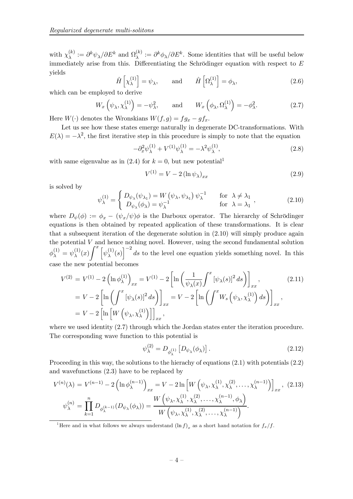with  $\chi_{\lambda}^{(k)}$  $\Omega_{\lambda}^{(k)}:=\partial^k\psi_{\lambda}/\partial E^k$  and  $\Omega_{\lambda}^{(k)}$  $\lambda^{(k)} := \partial^k \phi_{\lambda}/\partial E^k$ . Some identities that will be useful below immediately arise from this. Differentiating the Schrödinger equation with respect to  $E$ yields

$$
\hat{H}\left[\chi_{\lambda}^{(1)}\right] = \psi_{\lambda}, \quad \text{and} \quad \hat{H}\left[\Omega_{\lambda}^{(1)}\right] = \phi_{\lambda}, \tag{2.6}
$$

which can be employed to derive

$$
W_x\left(\psi_\lambda, \chi_\lambda^{(1)}\right) = -\psi_\lambda^2, \quad \text{and} \quad W_x\left(\phi_\lambda, \Omega_\lambda^{(1)}\right) = -\phi_\lambda^2. \tag{2.7}
$$

Here  $W(\cdot)$  denotes the Wronskians  $W(f,g) = fg_x - gf_x$ .

Let us see how these states emerge naturally in degenerate DC-transformations. With  $E(\lambda) = -\lambda^2$ , the first iterative step in this procedure is simply to note that the equation

$$
-\partial_x^2 \psi_\lambda^{(1)} + V^{(1)} \psi_\lambda^{(1)} = -\lambda^2 \psi_\lambda^{(1)},\tag{2.8}
$$

with same eigenvalue as in  $(2.4)$  for  $k = 0$ , but new potential<sup>1</sup>

$$
V^{(1)} = V - 2 \left( \ln \psi_{\lambda} \right)_{xx} \tag{2.9}
$$

is solved by

$$
\psi_{\lambda}^{(1)} = \begin{cases} D_{\psi_{\lambda}}(\psi_{\lambda_1}) = W(\psi_{\lambda}, \psi_{\lambda_1}) \psi_{\lambda}^{-1} & \text{for } \lambda \neq \lambda_1 \\ D_{\psi_{\lambda}}(\phi_{\lambda}) = \psi_{\lambda}^{-1} & \text{for } \lambda = \lambda_1 \end{cases},
$$
\n(2.10)

where  $D_{\psi}(\phi) := \phi_x - (\psi_x/\psi)\phi$  is the Darboux operator. The hierarchy of Schrödinger equations is then obtained by repeated application of these transformations. It is clear that a subsequent iteration of the degenerate solution in (2.10) will simply produce again the potential  $V$  and hence nothing novel. However, using the second fundamental solution  $\phi_\lambda^{(1)} = \psi_\lambda^{(1)}$  $\int_{\lambda}^{(1)} (x) \int_{\alpha}^{x} \left[ \psi_{\lambda}^{(1)} \right]$  $\left(\frac{1}{\lambda}(s)\right)^{-2}$  ds to the level one equation yields something novel. In this case the new potential becomes

$$
V^{(2)} = V^{(1)} - 2\left(\ln \phi_{\lambda}^{(1)}\right)_{xx} = V^{(1)} - 2\left[\ln \left(\frac{1}{\psi_{\lambda}(x)} \int^{x} \left[\psi_{\lambda}(s)\right]^{2} ds\right)\right]_{xx},
$$
\n
$$
= V - 2\left[\ln \left(\int^{x} \left[\psi_{\lambda}(s)\right]^{2} ds\right)\right]_{xx} = V - 2\left[\ln \left(\int^{x} W_{s}\left(\psi_{\lambda}, \chi_{\lambda}^{(1)}\right) ds\right)\right]_{xx},
$$
\n
$$
= V - 2\left[\ln \left[W\left(\psi_{\lambda}, \chi_{\lambda}^{(1)}\right)\right]\right]_{xx},
$$
\n(2.11)

where we used identity  $(2.7)$  through which the Jordan states enter the iteration procedure. The corresponding wave function to this potential is

$$
\psi_{\lambda}^{(2)} = D_{\phi_{\lambda}^{(1)}} \left[ D_{\psi_{\lambda}}(\phi_{\lambda}) \right]. \tag{2.12}
$$

Proceeding in this way, the solutions to the hierachy of equations  $(2.1)$  with potentials  $(2.2)$ and wavefunctions (2.3) have to be replaced by

$$
V^{(n)}(\lambda) = V^{(n-1)} - 2\left(\ln \phi_{\lambda}^{(n-1)}\right)_{xx} = V - 2\ln \left[W\left(\psi_{\lambda}, \chi_{\lambda}^{(1)}, \chi_{\lambda}^{(2)}, \dots, \chi_{\lambda}^{(n-1)}\right)\right]_{xx}, (2.13)
$$

$$
\psi_{\lambda}^{(n)} = \prod_{k=1}^{n} D_{\phi_{\lambda}^{(k-1)}}(D_{\psi_{\lambda}}(\phi_{\lambda})) = \frac{W\left(\psi_{\lambda}, \chi_{\lambda}^{(1)}, \chi_{\lambda}^{(2)}, \dots, \chi_{\lambda}^{(n-1)}, \phi_{\lambda}\right)}{W\left(\psi_{\lambda}, \chi_{\lambda}^{(1)}, \chi_{\lambda}^{(2)}, \dots, \chi_{\lambda}^{(n-1)}\right)}.
$$

<sup>1</sup>Here and in what follows we always understand  $(\ln f)_x$  as a short hand notation for  $f_x/f$ .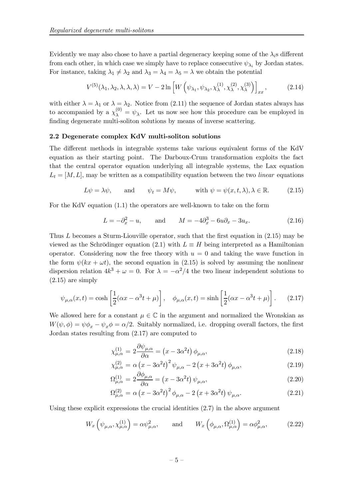Evidently we may also chose to have a partial degeneracy keeping some of the  $\lambda_i$ s different from each other, in which case we simply have to replace consecutive  $\psi_{\lambda_i}$  by Jordan states. For instance, taking  $\lambda_1 \neq \lambda_2$  and  $\lambda_3 = \lambda_4 = \lambda_5 = \lambda$  we obtain the potential

$$
V^{(5)}(\lambda_1, \lambda_2, \lambda, \lambda, \lambda) = V - 2 \ln \left[ W \left( \psi_{\lambda_1}, \psi_{\lambda_2}, \chi_{\lambda}^{(1)}, \chi_{\lambda}^{(2)}, \chi_{\lambda}^{(3)} \right) \right]_{xx}, \tag{2.14}
$$

with either  $\lambda = \lambda_1$  or  $\lambda = \lambda_2$ . Notice from (2.11) the sequence of Jordan states always has to accompanied by a  $\chi_{\lambda}^{(0)} = \psi_{\lambda}$ . Let us now see how this procedure can be employed in finding degenerate multi-soliton solutions by means of inverse scattering.

#### 2.2 Degenerate complex KdV multi-soliton solutions

The different methods in integrable systems take various equivalent forms of the KdV equation as their starting point. The Darboux-Crum transformation exploits the fact that the central operator equation underlying all integrable systems, the Lax equation  $L_t = [M, L]$ , may be written as a compatibility equation between the two *linear* equations

$$
L\psi = \lambda \psi
$$
, and  $\psi_t = M\psi$ , with  $\psi = \psi(x, t, \lambda), \lambda \in \mathbb{R}$ . (2.15)

For the KdV equation (1.1) the operators are well-known to take on the form

$$
L = -\partial_x^2 - u, \qquad \text{and} \qquad M = -4\partial_x^3 - 6u\partial_x - 3u_x. \tag{2.16}
$$

Thus L becomes a Sturm-Liouville operator, such that the first equation in (2.15) may be viewed as the Schrödinger equation (2.1) with  $L \equiv H$  being interpreted as a Hamiltonian operator. Considering now the free theory with  $u = 0$  and taking the wave function in the form  $\psi(kx + \omega t)$ , the second equation in (2.15) is solved by assuming the nonlinear dispersion relation  $4k^3 + \omega = 0$ . For  $\lambda = -\alpha^2/4$  the two linear independent solutions to (2.15) are simply

$$
\psi_{\mu,\alpha}(x,t) = \cosh\left[\frac{1}{2}(\alpha x - \alpha^3 t + \mu)\right], \quad \phi_{\mu,\alpha}(x,t) = \sinh\left[\frac{1}{2}(\alpha x - \alpha^3 t + \mu)\right].
$$
 (2.17)

We allowed here for a constant  $\mu \in \mathbb{C}$  in the argument and normalized the Wronskian as  $W(\psi, \phi) = \psi \phi_x - \psi_x \phi = \alpha/2$ . Suitably normalized, i.e. dropping overall factors, the first Jordan states resulting from (2.17) are computed to

$$
\chi_{\mu,\alpha}^{(1)} = 2 \frac{\partial \psi_{\mu,\alpha}}{\partial \alpha} = \left(x - 3\alpha^2 t\right) \phi_{\mu,\alpha},\tag{2.18}
$$

$$
\chi_{\mu,\alpha}^{(2)} = \alpha \left( x - 3\alpha^2 t \right)^2 \psi_{\mu,\alpha} - 2 \left( x + 3\alpha^2 t \right) \phi_{\mu,\alpha},\tag{2.19}
$$

$$
\Omega_{\mu,\alpha}^{(1)} = 2 \frac{\partial \phi_{\mu,\alpha}}{\partial \alpha} = \left( x - 3\alpha^2 t \right) \psi_{\mu,\alpha},\tag{2.20}
$$

$$
\Omega_{\mu,\alpha}^{(2)} = \alpha \left( x - 3\alpha^2 t \right)^2 \phi_{\mu,\alpha} - 2 \left( x + 3\alpha^2 t \right) \psi_{\mu,\alpha}.
$$
\n(2.21)

Using these explicit expressions the crucial identities (2.7) in the above argument

$$
W_x\left(\psi_{\mu,\alpha},\chi^{(1)}_{\mu,\alpha}\right) = \alpha \psi^2_{\mu,\alpha}, \quad \text{and} \quad W_x\left(\phi_{\mu,\alpha},\Omega^{(1)}_{\mu,\alpha}\right) = \alpha \phi^2_{\mu,\alpha}, \quad (2.22)
$$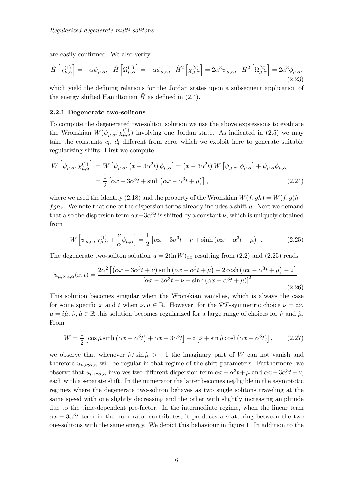are easily confirmed. We also verify

$$
\hat{H}\left[\chi^{(1)}_{\mu,\alpha}\right] = -\alpha\psi_{\mu,\alpha}, \quad \hat{H}\left[\Omega^{(1)}_{\mu,\alpha}\right] = -\alpha\phi_{\mu,\alpha}, \quad \hat{H}^2\left[\chi^{(2)}_{\mu,\alpha}\right] = 2\alpha^3\psi_{\mu,\alpha}, \quad \hat{H}^2\left[\Omega^{(2)}_{\mu,\alpha}\right] = 2\alpha^3\phi_{\mu,\alpha}, \tag{2.23}
$$

which yield the defining relations for the Jordan states upon a subsequent application of the energy shifted Hamiltonian  $\hat{H}$  as defined in (2.4).

#### 2.2.1 Degenerate two-solitons

To compute the degenerated two-soliton solution we use the above expressions to evaluate the Wronskian  $W(\psi_{\mu,\alpha}, \chi^{(1)}_{\mu,\alpha})$  involving one Jordan state. As indicated in (2.5) we may take the constants  $c_l$ ,  $d_l$  different from zero, which we exploit here to generate suitable regularizing shifts. First we compute

$$
W\left[\psi_{\mu,\alpha},\chi^{(1)}_{\mu,\alpha}\right] = W\left[\psi_{\mu,\alpha},\left(x - 3\alpha^2 t\right)\phi_{\mu,\alpha}\right] = \left(x - 3\alpha^2 t\right)W\left[\psi_{\mu,\alpha},\phi_{\mu,\alpha}\right] + \psi_{\mu,\alpha}\phi_{\mu,\alpha}
$$

$$
= \frac{1}{2}\left[\alpha x - 3\alpha^3 t + \sinh\left(\alpha x - \alpha^3 t + \mu\right)\right],\tag{2.24}
$$

where we used the identity (2.18) and the property of the Wronskian  $W(f, gh) = W(f, q)h +$  $fgh_x$ . We note that one of the dispersion terms already includes a shift  $\mu$ . Next we demand that also the dispersion term  $\alpha x - 3\alpha^3 t$  is shifted by a constant  $\nu$ , which is uniquely obtained from

$$
W\left[\psi_{\mu,\alpha},\chi^{(1)}_{\mu,\alpha}+\frac{\nu}{\alpha}\phi_{\mu,\alpha}\right]=\frac{1}{2}\left[\alpha x-3\alpha^3 t+\nu+\sinh\left(\alpha x-\alpha^3 t+\mu\right)\right].
$$
 (2.25)

The degenerate two-soliton solution  $u = 2(\ln W)_{xx}$  resulting from (2.2) and (2.25) reads

$$
u_{\mu,\nu;\alpha,\alpha}(x,t) = \frac{2\alpha^2 \left[ \left( \alpha x - 3\alpha^3 t + \nu \right) \sinh \left( \alpha x - \alpha^3 t + \mu \right) - 2 \cosh \left( \alpha x - \alpha^3 t + \mu \right) - 2 \right]}{\left[ \alpha x - 3\alpha^3 t + \nu + \sinh \left( \alpha x - \alpha^3 t + \mu \right) \right]^2}.
$$
\n(2.26)

This solution becomes singular when the Wronskian vanishes, which is always the case for some specific x and t when  $\nu, \mu \in \mathbb{R}$ . However, for the PT-symmetric choice  $\nu = i\hat{\nu}$ ,  $\mu = i\hat{\mu}, \hat{\nu}, \hat{\mu} \in \mathbb{R}$  this solution becomes regularized for a large range of choices for  $\hat{\nu}$  and  $\hat{\mu}$ . From

$$
W = \frac{1}{2} \left[ \cos \hat{\mu} \sinh \left( \alpha x - \alpha^3 t \right) + \alpha x - 3\alpha^3 t \right] + i \left[ \hat{\nu} + \sin \hat{\mu} \cosh(\alpha x - \alpha^3 t) \right],\tag{2.27}
$$

we observe that whenever  $\hat{\nu}/\sin \hat{\mu} > -1$  the imaginary part of W can not vanish and therefore  $u_{\mu,\nu;\alpha,\alpha}$  will be regular in that regime of the shift parameters. Furthermore, we observe that  $u_{\mu,\nu;\alpha,\alpha}$  involves two different dispersion term  $\alpha x - \alpha^3 t + \mu$  and  $\alpha x - 3\alpha^3 t + \nu$ , each with a separate shift. In the numerator the latter becomes negligible in the asymptotic regimes where the degenerate two-soliton behaves as two single solitons traveling at the same speed with one slightly decreasing and the other with slightly increasing amplitude due to the time-dependent pre-factor. In the intermediate regime, when the linear term  $\alpha x - 3\alpha^3 t$  term in the numerator contributes, it produces a scattering between the two one-solitons with the same energy. We depict this behaviour in figure 1. In addition to the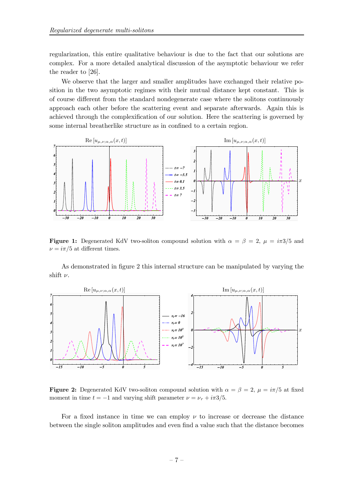regularization, this entire qualitative behaviour is due to the fact that our solutions are complex. For a more detailed analytical discussion of the asymptotic behaviour we refer the reader to [26].

We observe that the larger and smaller amplitudes have exchanged their relative position in the two asymptotic regimes with their mutual distance kept constant. This is of course different from the standard nondegenerate case where the solitons continuously approach each other before the scattering event and separate afterwards. Again this is achieved through the complexification of our solution. Here the scattering is governed by some internal breatherlike structure as in confined to a certain region.



**Figure 1:** Degenerated KdV two-soliton compound solution with  $\alpha = \beta = 2$ ,  $\mu = i\pi 3/5$  and  $\nu = i\pi/5$  at different times.

As demonstrated in figure 2 this internal structure can be manipulated by varying the shift  $\nu$ .



**Figure 2:** Degenerated KdV two-soliton compound solution with  $\alpha = \beta = 2$ ,  $\mu = i\pi/5$  at fixed moment in time  $t = -1$  and varying shift parameter  $\nu = \nu_r + i\pi 3/5$ .

For a fixed instance in time we can employ  $\nu$  to increase or decrease the distance between the single soliton amplitudes and even find a value such that the distance becomes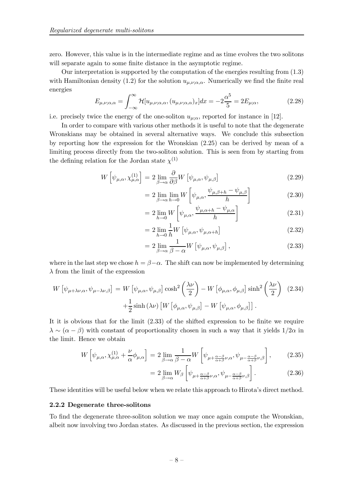zero. However, this value is in the intermediate regime and as time evolves the two solitons will separate again to some finite distance in the asymptotic regime.

Our interpretation is supported by the computation of the energies resulting from (1.3) with Hamiltonian density (1.2) for the solution  $u_{\mu,\nu;\alpha,\alpha}$ . Numerically we find the finite real energies

$$
E_{\mu,\nu;\alpha,\alpha} = \int_{-\infty}^{\infty} \mathcal{H}[u_{\mu,\nu;\alpha,\alpha}, (u_{\mu,\nu;\alpha,\alpha})_x] dx = -2\frac{\alpha^5}{5} = 2E_{\mu;\alpha},\tag{2.28}
$$

i.e. precisely twice the energy of the one-soliton  $u_{\mu;\alpha}$ , reported for instance in [12].

In order to compare with various other methods it is useful to note that the degenerate Wronskians may be obtained in several alternative ways. We conclude this subsection by reporting how the expression for the Wronskian (2.25) can be derived by mean of a limiting process directly from the two-soliton solution. This is seen from by starting from the defining relation for the Jordan state  $\chi^{(1)}$ 

$$
W\left[\psi_{\mu,\alpha},\chi^{(1)}_{\mu,\alpha}\right] = 2\lim_{\beta \to \alpha} \frac{\partial}{\partial \beta} W\left[\psi_{\mu,\alpha},\psi_{\mu,\beta}\right]
$$
(2.29)

$$
=2\lim_{\beta\to\alpha}\lim_{h\to 0}W\left[\psi_{\mu,\alpha},\frac{\psi_{\mu,\beta+h}-\psi_{\mu,\beta}}{h}\right]
$$
(2.30)

$$
=2\lim_{h\to 0} W\left[\psi_{\mu,\alpha}, \frac{\psi_{\mu,\alpha+h} - \psi_{\mu,\alpha}}{h}\right]
$$
\n(2.31)

$$
=2\lim_{h\to 0}\frac{1}{h}W\left[\psi_{\mu,\alpha},\psi_{\mu,\alpha+h}\right]
$$
\n(2.32)

$$
=2\lim_{\beta\to\alpha}\frac{1}{\beta-\alpha}W\left[\psi_{\mu,\alpha},\psi_{\mu,\beta}\right],\tag{2.33}
$$

where in the last step we chose  $h = \beta - \alpha$ . The shift can now be implemented by determining  $\lambda$  from the limit of the expression

$$
W\left[\psi_{\mu+\lambda\nu,\alpha},\psi_{\mu-\lambda\nu,\beta}\right] = W\left[\psi_{\mu,\alpha},\psi_{\mu,\beta}\right] \cosh^2\left(\frac{\lambda\nu}{2}\right) - W\left[\phi_{\mu,\alpha},\phi_{\mu,\beta}\right] \sinh^2\left(\frac{\lambda\nu}{2}\right) \tag{2.34}
$$

$$
+\frac{1}{2}\sinh\left(\lambda\nu\right)\left[W\left[\phi_{\mu,\alpha},\psi_{\mu,\beta}\right] - W\left[\psi_{\mu,\alpha},\phi_{\mu,\beta}\right]\right].
$$

It it is obvious that for the limit (2.33) of the shifted expression to be finite we require  $\lambda \sim (\alpha - \beta)$  with constant of proportionality chosen in such a way that it yields  $1/2\alpha$  in the limit. Hence we obtain

$$
W\left[\psi_{\mu,\alpha},\chi^{(1)}_{\mu,\alpha}+\frac{\nu}{\alpha}\phi_{\mu,\alpha}\right] = 2\lim_{\beta \to \alpha} \frac{1}{\beta-\alpha}W\left[\psi_{\mu+\frac{\alpha-\beta}{\alpha+\beta}\nu,\alpha},\psi_{\mu-\frac{\alpha-\beta}{\alpha+\beta}\nu,\beta}\right],\tag{2.35}
$$

$$
= 2 \lim_{\beta \to \alpha} W_{\beta} \left[ \psi_{\mu + \frac{\alpha - \beta}{\alpha + \beta} \nu, \alpha}, \psi_{\mu - \frac{\alpha - \beta}{\alpha + \beta} \nu, \beta} \right]. \tag{2.36}
$$

These identities will be useful below when we relate this approach to Hirota's direct method.

#### 2.2.2 Degenerate three-solitons

To find the degenerate three-soliton solution we may once again compute the Wronskian, albeit now involving two Jordan states. As discussed in the previous section, the expression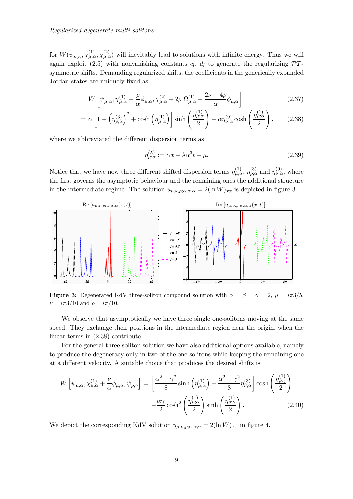for  $W(\psi_{\mu,\alpha}, \chi_{\mu,\alpha}^{(1)}, \chi_{\mu,\alpha}^{(2)})$  will inevitably lead to solutions with infinite energy. Thus we will again exploit (2.5) with nonvanishing constants  $c_l$ ,  $d_l$  to generate the regularizing  $\mathcal{P}\mathcal{T}$ symmetric shifts. Demanding regularized shifts, the coefficients in the generically expanded Jordan states are uniquely fixed as

$$
W\left[\psi_{\mu,\alpha},\chi^{(1)}_{\mu,\alpha}+\frac{\rho}{\alpha}\phi_{\mu,\alpha},\chi^{(2)}_{\mu,\alpha}+2\rho\ \Omega^{(1)}_{\mu,\alpha}+\frac{2\nu-4\rho}{\alpha}\phi_{\mu,\alpha}\right]
$$
(2.37)

$$
= \alpha \left[ 1 + \left( \eta_{\rho;\alpha}^{(3)} \right)^2 + \cosh \left( \eta_{\mu;\alpha}^{(1)} \right) \right] \sinh \left( \frac{\eta_{\mu;\alpha}^{(1)}}{2} \right) - \alpha \eta_{\nu;\alpha}^{(9)} \cosh \left( \frac{\eta_{\mu;\alpha}^{(1)}}{2} \right), \tag{2.38}
$$

where we abbreviated the different dispersion terms as

$$
\eta_{\mu;\alpha}^{(\lambda)} := \alpha x - \lambda \alpha^3 t + \mu,\tag{2.39}
$$

Notice that we have now three different shifted dispersion terms  $\eta_{\mu;\alpha}^{(1)}$ ,  $\eta_{\rho;\alpha}^{(3)}$  and  $\eta_{\nu;\alpha}^{(9)}$ , where the first governs the asymptotic behaviour and the remaining ones the additional structure in the intermediate regime. The solution  $u_{\mu,\nu,\rho;\alpha,\alpha,\alpha} = 2(\ln W)_{xx}$  is depicted in figure 3.



**Figure 3:** Degenerated KdV three-soliton compound solution with  $\alpha = \beta = \gamma = 2$ ,  $\mu = i\pi 3/5$ ,  $\nu = i\pi 3/10$  and  $\rho = i\pi/10$ .

We observe that asymptotically we have three single one-solitons moving at the same speed. They exchange their positions in the intermediate region near the origin, when the linear terms in (2.38) contribute.

For the general three-soliton solution we have also additional options available, namely to produce the degeneracy only in two of the one-solitons while keeping the remaining one at a different velocity. A suitable choice that produces the desired shifts is

$$
W\left[\psi_{\mu,\alpha}, \chi^{(1)}_{\mu,\alpha} + \frac{\nu}{\alpha} \phi_{\mu,\alpha}, \psi_{\rho,\gamma}\right] = \left[\frac{\alpha^2 + \gamma^2}{8} \sinh\left(\eta^{(1)}_{\mu,\alpha}\right) - \frac{\alpha^2 - \gamma^2}{8} \eta^{(3)}_{\nu,\alpha}\right] \cosh\left(\frac{\eta^{(1)}_{\rho;\gamma}}{2}\right) - \frac{\alpha\gamma}{2} \cosh^2\left(\frac{\eta^{(1)}_{\mu,\alpha}}{2}\right) \sinh\left(\frac{\eta^{(1)}_{\rho;\gamma}}{2}\right). \tag{2.40}
$$

We depict the corresponding KdV solution  $u_{\mu,\nu,\rho;\alpha,\alpha,\gamma} = 2(\ln W)_{xx}$  in figure 4.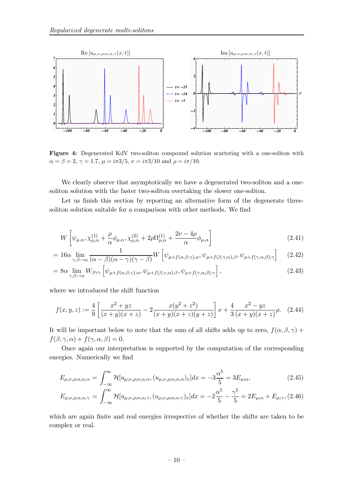

Figure 4: Degenerated KdV two-soliton compound solution scattering with a one-soliton with  $\alpha = \beta = 2, \gamma = 1.7, \mu = i\pi 3/5, \nu = i\pi 3/10 \text{ and } \rho = i\pi/10.$ 

We clearly observe that asymptotically we have a degenerated two-soliton and a onesoliton solution with the faster two-soliton overtaking the slower one-soliton.

Let us finish this section by reporting an alternative form of the degenerate threesoliton solution suitable for a comparison with other methods. We find

$$
W\left[\psi_{\mu,\alpha},\chi^{(1)}_{\mu,\alpha}+\frac{\rho}{\alpha}\phi_{\mu,\alpha},\chi^{(2)}_{\mu,\alpha}+2\rho\Omega^{(1)}_{\mu,\alpha}+\frac{2\nu-4\rho}{\alpha}\phi_{\mu,\alpha}\right]
$$
\n(2.41)

$$
= 16\alpha \lim_{\gamma,\beta \to \alpha} \frac{1}{(\alpha-\beta)(\alpha-\gamma)(\gamma-\beta)} W \left[ \psi_{\mu+f(\alpha,\beta,\gamma),\alpha}, \psi_{\mu+f(\beta,\gamma,\alpha),\beta}, \psi_{\mu+f(\gamma,\alpha,\beta),\gamma} \right] \tag{2.42}
$$

$$
= 8\alpha \lim_{\gamma,\beta \to \alpha} W_{\beta\gamma\gamma} \left[ \psi_{\mu+f(\alpha,\beta,\gamma),\alpha}, \psi_{\mu+f(\beta,\gamma,\alpha),\beta}, \psi_{\mu+f(\gamma,\alpha,\beta),\gamma} \right],
$$
\n(2.43)

where we introduced the shift function

$$
f(x,y,z) := \frac{4}{9} \left[ \frac{x^2 + yz}{(x+y)(x+z)} - 2 \frac{x(y^2 + z^2)}{(x+y)(x+z)(y+z)} \right] \nu + \frac{4}{3} \frac{x^2 - yz}{(x+y)(x+z)} \rho. \tag{2.44}
$$

It will be important below to note that the sum of all shifts adds up to zero,  $f(\alpha, \beta, \gamma)$  +  $f(\beta, \gamma, \alpha) + f(\gamma, \alpha, \beta) = 0.$ 

Once again our interpretation is supported by the computation of the corresponding energies. Numerically we find

$$
E_{\mu,\nu,\rho;\alpha,\alpha,\alpha} = \int_{-\infty}^{\infty} \mathcal{H}[u_{\mu,\nu,\rho;\alpha,\alpha,\alpha}, (u_{\mu,\nu,\rho;\alpha,\alpha,\alpha})_x] dx = -3\frac{\alpha^5}{5} = 3E_{\mu;\alpha},\tag{2.45}
$$

$$
E_{\mu,\nu,\rho;\alpha,\alpha,\gamma} = \int_{-\infty}^{\infty} \mathcal{H}[u_{\mu,\nu,\rho;\alpha,\alpha,\gamma},(u_{\mu,\nu,\rho;\alpha,\alpha,\gamma})_x]dx = -2\frac{\alpha^5}{5} - \frac{\gamma^5}{5} = 2E_{\mu;\alpha} + E_{\mu;\gamma}, (2.46)
$$

which are again finite and real energies irrespective of whether the shifts are taken to be complex or real.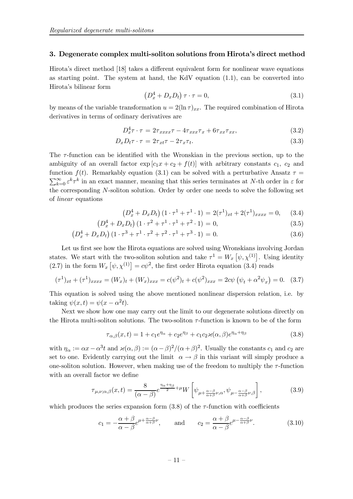#### 3. Degenerate complex multi-soliton solutions from Hirota's direct method

Hirota's direct method [18] takes a different equivalent form for nonlinear wave equations as starting point. The system at hand, the KdV equation  $(1.1)$ , can be converted into Hirota's bilinear form

$$
\left(D_x^4 + D_x D_t\right)\tau \cdot \tau = 0,\tag{3.1}
$$

by means of the variable transformation  $u = 2(\ln \tau)_{xx}$ . The required combination of Hirota derivatives in terms of ordinary derivatives are

$$
D_x^4 \tau \cdot \tau = 2\tau_{xxxx}\tau - 4\tau_{xxx}\tau_x + 6\tau_{xx}\tau_{xx}, \qquad (3.2)
$$

$$
D_x D_t \tau \cdot \tau = 2\tau_{xt} \tau - 2\tau_x \tau_t. \tag{3.3}
$$

The  $\tau$ -function can be identified with the Wronskian in the previous section, up to the ambiguity of an overall factor  $\exp [c_1x + c_2 + f(t)]$  with arbitrary constants  $c_1$ ,  $c_2$  and function  $f(t)$ . Remarkably equation (3.1) can be solved with a perturbative Ansatz  $\tau$  =  $\sum_{k=0}^{\infty} \varepsilon^k \tau^k$  in an exact manner, meaning that this series terminates at N-th order in  $\varepsilon$  for the corresponding N-soliton solution. Order by order one needs to solve the following set of linear equations

$$
(D_x^4 + D_x D_t) (1 \cdot \tau^1 + \tau^1 \cdot 1) = 2(\tau^1)_{xt} + 2(\tau^1)_{xxxx} = 0,
$$
 (3.4)

$$
(D_x^4 + D_x D_t) (1 \cdot \tau^2 + \tau^1 \cdot \tau^1 + \tau^2 \cdot 1) = 0,
$$
\n(3.5)

$$
(D_x^4 + D_x D_t) (1 \cdot \tau^3 + \tau^1 \cdot \tau^2 + \tau^2 \cdot \tau^1 + \tau^3 \cdot 1) = 0.
$$
 (3.6)

Let us first see how the Hirota equations are solved using Wronskians involving Jordan states. We start with the two-soliton solution and take  $\tau^1 = W_x \left[ \psi, \chi^{(1)} \right]$ . Using identity (2.7) in the form  $W_x \left[ \psi, \chi^{(1)} \right] = c \psi^2$ , the first order Hirota equation (3.4) reads

$$
(\tau^1)_{xt} + (\tau^1)_{xxxx} = (W_x)_t + (W_x)_{xxx} = c(\psi^2)_t + c(\psi^2)_{xxx} = 2c\psi(\psi_t + \alpha^2 \psi_x) = 0. \quad (3.7)
$$

This equation is solved using the above mentioned nonlinear dispersion relation, i.e. by taking  $\psi(x,t) = \psi(x - \alpha^2 t)$ .

Next we show how one may carry out the limit to our degenerate solutions directly on the Hirota multi-soliton solutions. The two-soliton  $\tau$ -function is known to be of the form

$$
\tau_{\alpha,\beta}(x,t) = 1 + c_1 e^{\eta_\alpha} + c_2 e^{\eta_\beta} + c_1 c_2 \varkappa(\alpha,\beta) e^{\eta_\alpha + \eta_\beta} \tag{3.8}
$$

with  $\eta_{\alpha} := \alpha x - \alpha^3 t$  and  $\varkappa(\alpha, \beta) := (\alpha - \beta)^2/(\alpha + \beta)^2$ . Usually the constants  $c_1$  and  $c_2$  are set to one. Evidently carrying out the limit  $\alpha \to \beta$  in this variant will simply produce a one-soliton solution. However, when making use of the freedom to multiply the  $\tau$ -function with an overall factor we define

$$
\tau_{\mu,\nu;\alpha,\beta}(x,t) = \frac{8}{(\alpha-\beta)} e^{\frac{\eta_{\alpha}+\eta_{\beta}}{2}+\mu} W\left[\psi_{\mu+\frac{\alpha-\beta}{\alpha+\beta}\nu,\alpha},\psi_{\mu-\frac{\alpha-\beta}{\alpha+\beta}\nu,\beta}\right],
$$
(3.9)

which produces the series expansion form  $(3.8)$  of the  $\tau$ -function with coefficients

$$
c_1 = -\frac{\alpha + \beta}{\alpha - \beta} e^{\mu + \frac{\alpha - \beta}{\alpha + \beta}\nu}, \quad \text{and} \quad c_2 = \frac{\alpha + \beta}{\alpha - \beta} e^{\mu - \frac{\alpha - \beta}{\alpha + \beta}\nu}.
$$
 (3.10)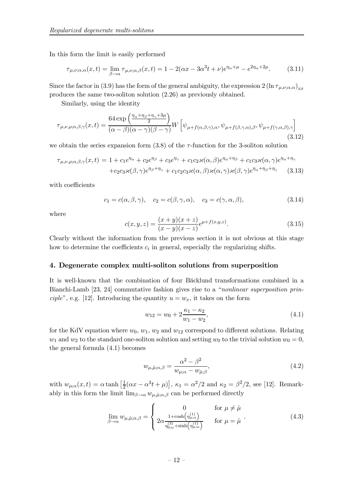In this form the limit is easily performed

$$
\tau_{\mu,\nu;\alpha,\alpha}(x,t) = \lim_{\beta \to \alpha} \tau_{\mu,\nu;\alpha,\beta}(x,t) = 1 - 2(\alpha x - 3\alpha^3 t + \nu)e^{\eta_{\alpha} + \mu} - e^{2\eta_{\alpha} + 2\mu}.
$$
 (3.11)

Since the factor in (3.9) has the form of the general ambiguity, the expression  $2(\ln \tau_{\mu,\nu;\alpha,\alpha})_{xx}$ produces the same two-soliton solution (2.26) as previously obtained.

Similarly, using the identity

$$
\tau_{\mu,\nu,\rho;\alpha,\beta,\gamma}(x,t) = \frac{64 \exp\left(\frac{\eta_{\alpha} + \eta_{\beta} + \eta_{\gamma} + 3\mu}{2}\right)}{(\alpha - \beta)(\alpha - \gamma)(\beta - \gamma)} W\left[\psi_{\mu+f(\alpha,\beta,\gamma),\alpha},\psi_{\mu+f(\beta,\gamma,\alpha),\beta},\psi_{\mu+f(\gamma,\alpha,\beta),\gamma}\right]
$$
(3.12)

we obtain the series expansion form  $(3.8)$  of the  $\tau$ -function for the 3-soliton solution

$$
\tau_{\mu,\nu,\rho;\alpha,\beta,\gamma}(x,t) = 1 + c_1 e^{\eta_{\alpha}} + c_2 e^{\eta_{\beta}} + c_3 e^{\eta_{\gamma}} + c_1 c_2 \varkappa(\alpha,\beta) e^{\eta_{\alpha} + \eta_{\beta}} + c_1 c_3 \varkappa(\alpha,\gamma) e^{\eta_{\alpha} + \eta_{\gamma}} + c_2 c_3 \varkappa(\beta,\gamma) e^{\eta_{\beta} + \eta_{\gamma}} + c_1 c_2 c_3 \varkappa(\alpha,\beta) \varkappa(\alpha,\gamma) \varkappa(\beta,\gamma) e^{\eta_{\alpha} + \eta_{\beta} + \eta_{\gamma}}
$$
(3.13)

with coefficients

$$
c_1 = c(\alpha, \beta, \gamma), \quad c_2 = c(\beta, \gamma, \alpha), \quad c_3 = c(\gamma, \alpha, \beta), \tag{3.14}
$$

where

$$
c(x,y,z) = \frac{(x+y)(x+z)}{(x-y)(x-z)}e^{\mu+f(x,y,z)}.
$$
\n(3.15)

Clearly without the information from the previous section it is not obvious at this stage how to determine the coefficients  $c_i$  in general, especially the regularizing shifts.

#### 4. Degenerate complex multi-soliton solutions from superposition

It is well-known that the combination of four Bäcklund transformations combined in a Bianchi-Lamb [23, 24] commutative fashion gives rise to a "nonlinear superposition principle", e.g. [12]. Introducing the quantity  $u = w_x$ , it takes on the form

$$
w_{12} = w_0 + 2\frac{\kappa_1 - \kappa_2}{w_1 - w_2},\tag{4.1}
$$

for the KdV equation where  $w_0$ ,  $w_1$ ,  $w_2$  and  $w_{12}$  correspond to different solutions. Relating  $w_1$  and  $w_2$  to the standard one-soliton solution and setting  $w_0$  to the trivial solution  $w_0 = 0$ , the general formula (4.1) becomes

$$
w_{\mu,\hat{\mu};\alpha,\beta} = \frac{\alpha^2 - \beta^2}{w_{\mu;\alpha} - w_{\hat{\mu};\beta}},\tag{4.2}
$$

with  $w_{\mu;\alpha}(x,t) = \alpha \tanh\left[\frac{1}{2}\right]$  $\frac{1}{2}(\alpha x - \alpha^3 t + \mu)$ ,  $\kappa_1 = \alpha^2/2$  and  $\kappa_2 = \beta^2/2$ , see [12]. Remarkably in this form the limit  $\lim_{\beta\to\alpha} w_{\mu,\hat{\mu};\alpha,\beta}$  can be performed directly

$$
\lim_{\beta \to \alpha} w_{\mu,\hat{\mu};\alpha,\beta} = \begin{cases} 0 & \text{for } \mu \neq \hat{\mu} \\ 2\alpha \frac{1 + \cosh(\eta_{\mu;\alpha}^{(1)})}{\eta_{0;\alpha}^{(3)} + \sinh(\eta_{\mu;\alpha}^{(1)})} & \text{for } \mu = \hat{\mu} \end{cases} (4.3)
$$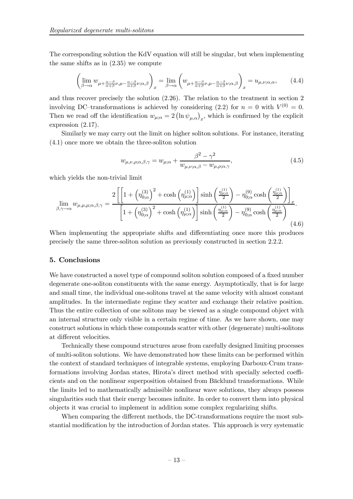The corresponding solution the KdV equation will still be singular, but when implementing the same shifts as in (2.35) we compute

$$
\left(\lim_{\beta \to \alpha} w_{\mu + \frac{\alpha - \beta}{\alpha + \beta}\nu, \mu - \frac{\alpha - \beta}{\alpha + \beta}\nu; \alpha, \beta}\right)_x = \lim_{\beta \to \alpha} \left(w_{\mu + \frac{\alpha - \beta}{\alpha + \beta}\nu, \mu - \frac{\alpha - \beta}{\alpha + \beta}\nu; \alpha, \beta}\right)_x = u_{\mu, \nu; \alpha, \alpha},\qquad(4.4)
$$

and thus recover precisely the solution (2.26). The relation to the treatment in section 2 involving DC-transformations is achieved by considering (2.2) for  $n = 0$  with  $V^{(0)} = 0$ . Then we read off the identification  $w_{\mu;\alpha} = 2 (\ln \psi_{\mu,\alpha})_x$ , which is confirmed by the explicit expression (2.17).

Similarly we may carry out the limit on higher soliton solutions. For instance, iterating (4.1) once more we obtain the three-soliton solution

$$
w_{\mu,\nu,\rho;\alpha,\beta,\gamma} = w_{\mu;\alpha} + \frac{\beta^2 - \gamma^2}{w_{\mu,\nu;\alpha,\beta} - w_{\mu,\rho;\alpha,\gamma}},\tag{4.5}
$$

which yields the non-trivial limit

$$
\lim_{\beta,\gamma\to\alpha} w_{\mu,\mu,\mu;\alpha,\beta,\gamma} = \frac{2\left[\left[1+\left(\eta_{0;\alpha}^{(3)}\right)^2 + \cosh\left(\eta_{\mu;\alpha}^{(1)}\right)\right] \sinh\left(\frac{\eta_{\mu;\alpha}^{(1)}}{2}\right) - \eta_{0;\alpha}^{(9)} \cosh\left(\frac{\eta_{\mu;\alpha}^{(1)}}{2}\right)\right]_x}{\left[1+\left(\eta_{0;\alpha}^{(3)}\right)^2 + \cosh\left(\eta_{\mu;\alpha}^{(1)}\right)\right] \sinh\left(\frac{\eta_{\mu;\alpha}^{(1)}}{2}\right) - \eta_{0;\alpha}^{(9)} \cosh\left(\frac{\eta_{\mu;\alpha}^{(1)}}{2}\right)}.
$$
\n(4.6)

When implementing the appropriate shifts and differentiating once more this produces precisely the same three-soliton solution as previously constructed in section 2.2.2.

#### 5. Conclusions

We have constructed a novel type of compound soliton solution composed of a fixed number degenerate one-soliton constituents with the same energy. Asymptotically, that is for large and small time, the individual one-solitons travel at the same velocity with almost constant amplitudes. In the intermediate regime they scatter and exchange their relative position. Thus the entire collection of one solitons may be viewed as a single compound object with an internal structure only visible in a certain regime of time. As we have shown, one may construct solutions in which these compounds scatter with other (degenerate) multi-solitons at different velocities.

Technically these compound structures arose from carefully designed limiting processes of multi-soliton solutions. We have demonstrated how these limits can be performed within the context of standard techniques of integrable systems, employing Darboux-Crum transformations involving Jordan states, Hirota's direct method with specially selected coefficients and on the nonlinear superposition obtained from Bäcklund transformations. While the limits led to mathematically admissible nonlinear wave solutions, they always possess singularities such that their energy becomes infinite. In order to convert them into physical objects it was crucial to implement in addition some complex regularizing shifts.

When comparing the different methods, the DC-transformations require the most substantial modification by the introduction of Jordan states. This approach is very systematic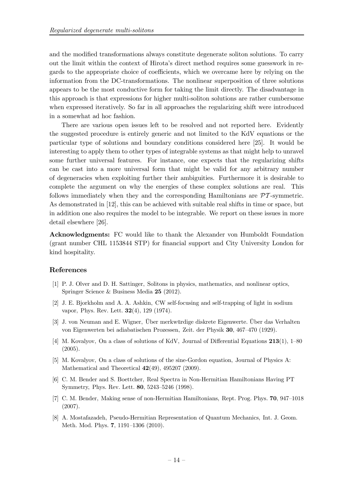and the modified transformations always constitute degenerate soliton solutions. To carry out the limit within the context of Hirota's direct method requires some guesswork in regards to the appropriate choice of coefficients, which we overcame here by relying on the information from the DC-transformations. The nonlinear superposition of three solutions appears to be the most conductive form for taking the limit directly. The disadvantage in this approach is that expressions for higher multi-soliton solutions are rather cumbersome when expressed iteratively. So far in all approaches the regularizing shift were introduced in a somewhat ad hoc fashion.

There are various open issues left to be resolved and not reported here. Evidently the suggested procedure is entirely generic and not limited to the KdV equations or the particular type of solutions and boundary conditions considered here [25]. It would be interesting to apply them to other types of integrable systems as that might help to unravel some further universal features. For instance, one expects that the regularizing shifts can be cast into a more universal form that might be valid for any arbitrary number of degeneracies when exploiting further their ambiguities. Furthermore it is desirable to complete the argument on why the energies of these complex solutions are real. This follows immediately when they and the corresponding Hamiltonians are  $\mathcal{PT}$ -symmetric. As demonstrated in [12], this can be achieved with suitable real shifts in time or space, but in addition one also requires the model to be integrable. We report on these issues in more detail elsewhere [26].

Acknowledgments: FC would like to thank the Alexander von Humboldt Foundation (grant number CHL 1153844 STP) for financial support and City University London for kind hospitality.

#### References

- [1] P. J. Olver and D. H. Sattinger, Solitons in physics, mathematics, and nonlinear optics, Springer Science & Business Media 25 (2012).
- [2] J. E. Bjorkholm and A. A. Ashkin, CW self-focusing and self-trapping of light in sodium vapor, Phys. Rev. Lett. 32(4), 129 (1974).
- [3] J. von Neuman and E. Wigner, Über merkwürdige diskrete Eigenwerte. Über das Verhalten von Eigenwerten bei adiabatischen Prozessen, Zeit. der Physik 30, 467—470 (1929).
- [4] M. Kovalyov, On a class of solutions of KdV, Journal of Differential Equations 213(1), 1—80 (2005).
- [5] M. Kovalyov, On a class of solutions of the sine-Gordon equation, Journal of Physics A: Mathematical and Theoretical  $42(49)$ ,  $495207$   $(2009)$ .
- [6] C. M. Bender and S. Boettcher, Real Spectra in Non-Hermitian Hamiltonians Having PT Symmetry, Phys. Rev. Lett. 80, 5243—5246 (1998).
- [7] C. M. Bender, Making sense of non-Hermitian Hamiltonians, Rept. Prog. Phys. 70, 947—1018 (2007).
- [8] A. Mostafazadeh, Pseudo-Hermitian Representation of Quantum Mechanics, Int. J. Geom. Meth. Mod. Phys. 7, 1191—1306 (2010).